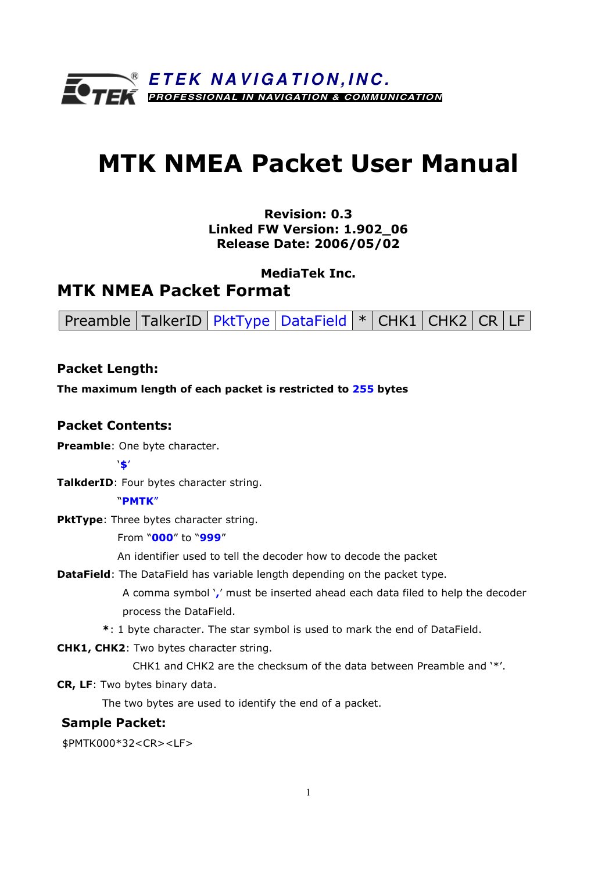

# MTK NMEA Packet User Manual

# Revision: 0.3 Linked FW Version: 1.902\_06 Release Date: 2006/05/02

MediaTek Inc.

# MTK NMEA Packet Format

Preamble  $TalkerID | PktType | DataField | * | CHK1 | CHK2 | CR | LF$ 

# Packet Length:

The maximum length of each packet is restricted to 255 bytes

# Packet Contents:

Preamble: One byte character.

'\$'

TalkderID: Four bytes character string.

#### "PMTK"

PktType: Three bytes character string.

From "000" to "999"

An identifier used to tell the decoder how to decode the packet

**DataField:** The DataField has variable length depending on the packet type.

A comma symbol ',' must be inserted ahead each data filed to help the decoder process the DataField.

\*: 1 byte character. The star symbol is used to mark the end of DataField.

CHK1, CHK2: Two bytes character string.

CHK1 and CHK2 are the checksum of the data between Preamble and '\*'.

CR, LF: Two bytes binary data.

The two bytes are used to identify the end of a packet.

#### Sample Packet:

\$PMTK000\*32<CR><LF>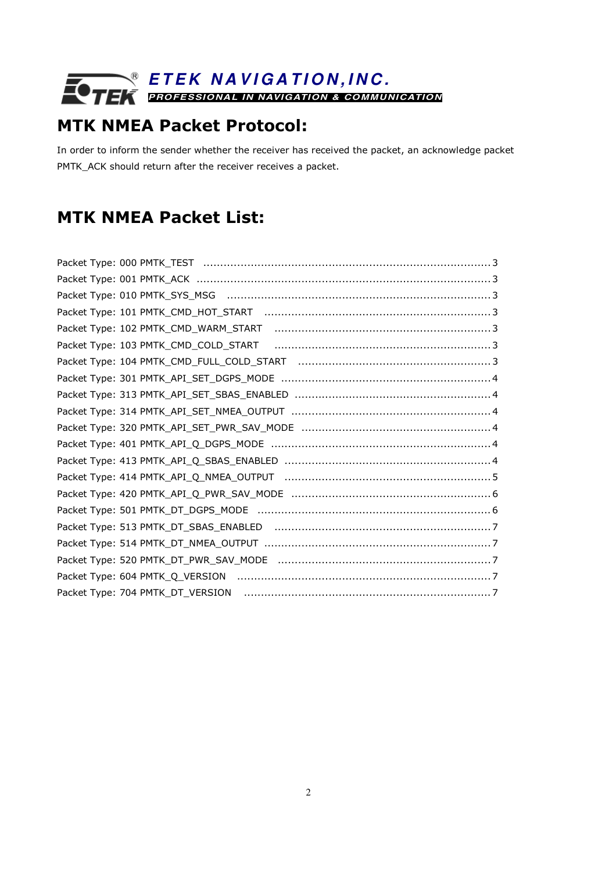# MTK NMEA Packet Protocol:

In order to inform the sender whether the receiver has received the packet, an acknowledge packet PMTK\_ACK should return after the receiver receives a packet.

# MTK NMEA Packet List:

| Packet Type: 102 PMTK_CMD_WARM_START |
|--------------------------------------|
| Packet Type: 103 PMTK_CMD_COLD_START |
|                                      |
|                                      |
|                                      |
|                                      |
|                                      |
|                                      |
|                                      |
|                                      |
|                                      |
|                                      |
|                                      |
|                                      |
|                                      |
|                                      |
|                                      |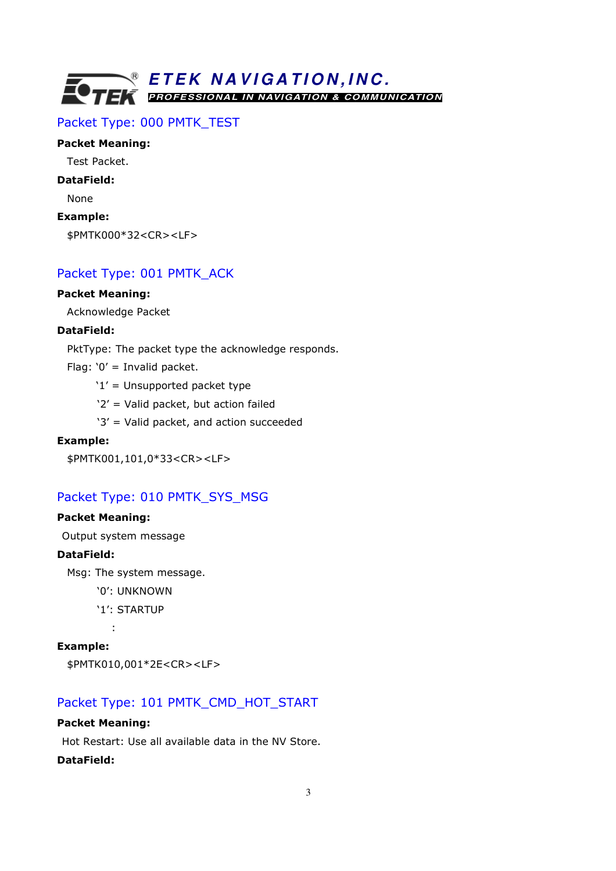# Packet Type: 000 PMTK\_TEST

#### Packet Meaning:

Test Packet.

### DataField:

None

#### Example:

\$PMTK000\*32<CR><LF>

# Packet Type: 001 PMTK\_ACK

### Packet Meaning:

Acknowledge Packet

#### DataField:

PktType: The packet type the acknowledge responds.

Flag: '0' = Invalid packet.

- $'1'$  = Unsupported packet type
- '2' = Valid packet, but action failed
- '3' = Valid packet, and action succeeded

#### Example:

\$PMTK001,101,0\*33<CR><LF>

# Packet Type: 010 PMTK\_SYS\_MSG

### Packet Meaning:

Output system message

#### DataField:

Msg: The system message.

- '0': UNKNOWN
- '1': STARTUP

:

#### Example:

```
$PMTK010,001*2E<CR><LF>
```
# Packet Type: 101 PMTK\_CMD\_HOT\_START

#### Packet Meaning:

Hot Restart: Use all available data in the NV Store.

#### DataField: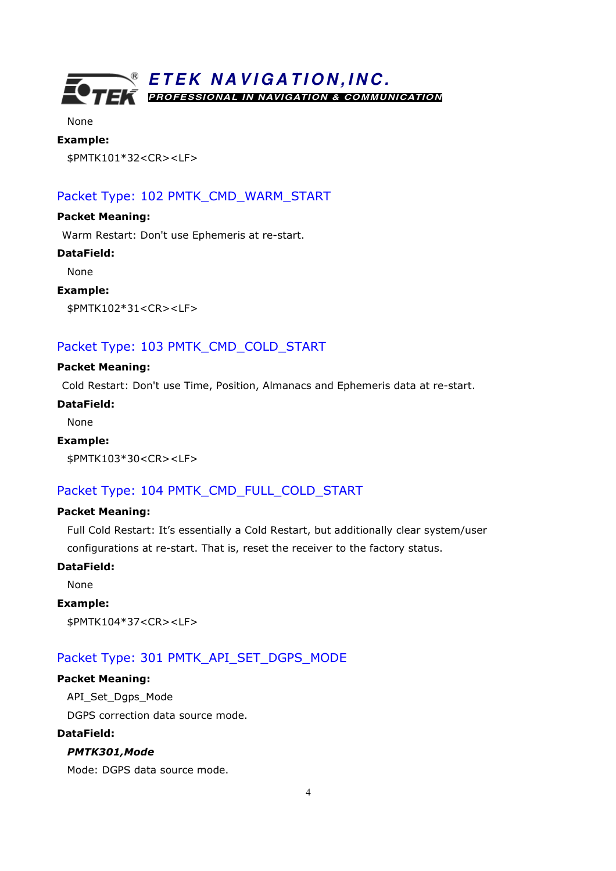

None

# Example:

\$PMTK101\*32<CR><LF>

# Packet Type: 102 PMTK\_CMD\_WARM\_START

#### Packet Meaning:

Warm Restart: Don't use Ephemeris at re-start.

#### DataField:

None

#### Example:

\$PMTK102\*31<CR><LF>

# Packet Type: 103 PMTK\_CMD\_COLD\_START

#### Packet Meaning:

Cold Restart: Don't use Time, Position, Almanacs and Ephemeris data at re-start.

#### DataField:

None

#### Example:

\$PMTK103\*30<CR><LF>

# Packet Type: 104 PMTK\_CMD\_FULL\_COLD\_START

#### Packet Meaning:

Full Cold Restart: It's essentially a Cold Restart, but additionally clear system/user configurations at re-start. That is, reset the receiver to the factory status.

#### DataField:

None

#### Example:

\$PMTK104\*37<CR><LF>

# Packet Type: 301 PMTK\_API\_SET\_DGPS\_MODE

#### Packet Meaning:

API\_Set\_Dgps\_Mode

DGPS correction data source mode.

#### DataField:

### PMTK301,Mode

Mode: DGPS data source mode.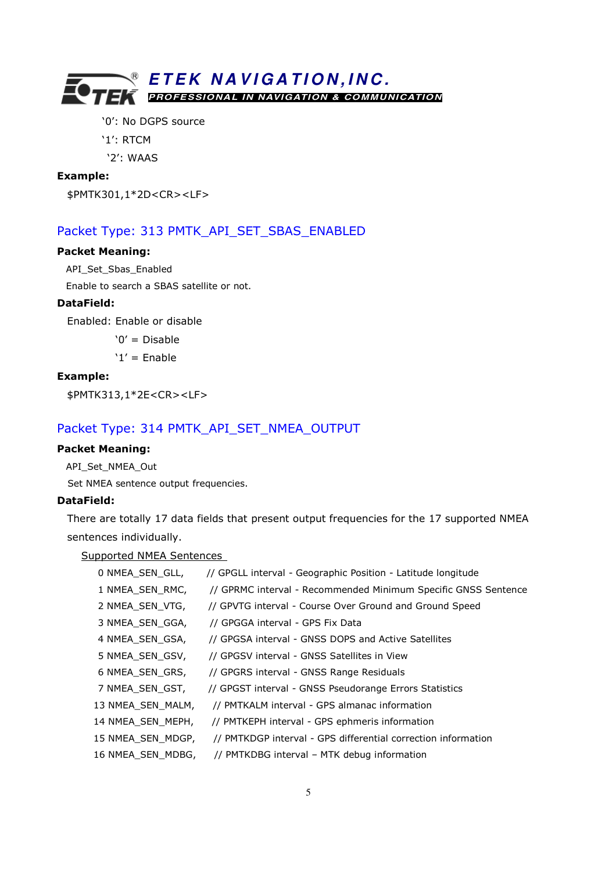'0': No DGPS source

'1': RTCM

'2': WAAS

#### Example:

\$PMTK301,1\*2D<CR><LF>

#### Packet Type: 313 PMTK\_API\_SET\_SBAS\_ENABLED

#### Packet Meaning:

API\_Set\_Sbas\_Enabled

Enable to search a SBAS satellite or not.

### DataField:

Enabled: Enable or disable

'0' = Disable

'1' = Enable

#### Example:

\$PMTK313,1\*2E<CR><LF>

### Packet Type: 314 PMTK\_API\_SET\_NMEA\_OUTPUT

#### Packet Meaning:

API\_Set\_NMEA\_Out Set NMEA sentence output frequencies.

#### DataField:

There are totally 17 data fields that present output frequencies for the 17 supported NMEA sentences individually.

Supported NMEA Sentences

| 0 NMEA SEN GLL,   | // GPGLL interval - Geographic Position - Latitude longitude   |
|-------------------|----------------------------------------------------------------|
| 1 NMEA_SEN_RMC,   | // GPRMC interval - Recommended Minimum Specific GNSS Sentence |
| 2 NMEA_SEN_VTG,   | // GPVTG interval - Course Over Ground and Ground Speed        |
| 3 NMEA_SEN_GGA,   | // GPGGA interval - GPS Fix Data                               |
| 4 NMEA_SEN_GSA,   | // GPGSA interval - GNSS DOPS and Active Satellites            |
| 5 NMEA SEN GSV,   | // GPGSV interval - GNSS Satellites in View                    |
| 6 NMEA SEN GRS,   | // GPGRS interval - GNSS Range Residuals                       |
| 7 NMEA SEN GST,   | // GPGST interval - GNSS Pseudorange Errors Statistics         |
| 13 NMEA_SEN_MALM, | // PMTKALM interval - GPS almanac information                  |
| 14 NMEA_SEN_MEPH, | // PMTKEPH interval - GPS ephmeris information                 |
| 15 NMEA_SEN_MDGP, | // PMTKDGP interval - GPS differential correction information  |
| 16 NMEA SEN MDBG, | // PMTKDBG interval - MTK debug information                    |
|                   |                                                                |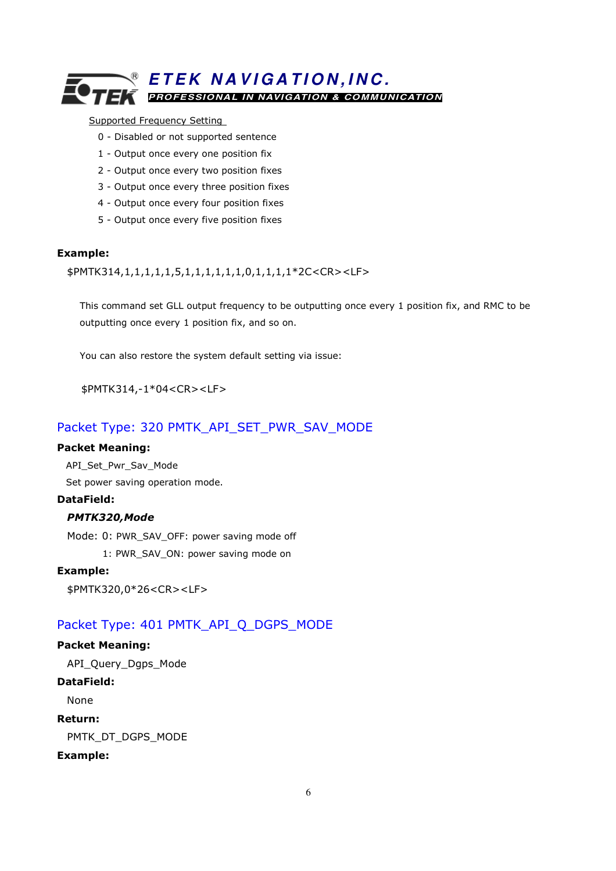#### Supported Frequency Setting

- 0 Disabled or not supported sentence
- 1 Output once every one position fix
- 2 Output once every two position fixes
- 3 Output once every three position fixes
- 4 Output once every four position fixes
- 5 Output once every five position fixes

#### Example:

\$PMTK314,1,1,1,1,1,5,1,1,1,1,1,1,0,1,1,1,1\*2C<CR><LF>

 This command set GLL output frequency to be outputting once every 1 position fix, and RMC to be outputting once every 1 position fix, and so on.

You can also restore the system default setting via issue:

\$PMTK314,-1\*04<CR><LF>

# Packet Type: 320 PMTK\_API\_SET\_PWR\_SAV\_MODE

#### Packet Meaning:

API\_Set\_Pwr\_Sav\_Mode

Set power saving operation mode.

#### DataField:

### PMTK320,Mode

Mode: 0: PWR\_SAV\_OFF: power saving mode off 1: PWR\_SAV\_ON: power saving mode on

#### Example:

\$PMTK320,0\*26<CR><LF>

# Packet Type: 401 PMTK\_API\_Q\_DGPS\_MODE

#### Packet Meaning:

API\_Query\_Dgps\_Mode

#### DataField:

None

#### Return:

PMTK\_DT\_DGPS\_MODE

#### Example: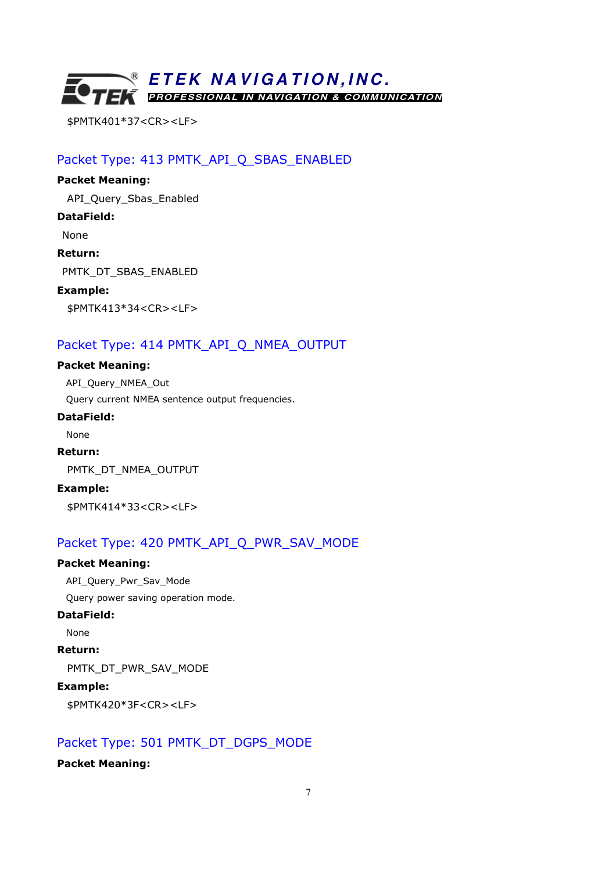

\$PMTK401\*37<CR><LF>

Packet Type: 413 PMTK\_API\_Q\_SBAS\_ENABLED

# Packet Meaning: API\_Query\_Sbas\_Enabled DataField: None Return: PMTK\_DT\_SBAS\_ENABLED Example: \$PMTK413\*34<CR><LF>

# Packet Type: 414 PMTK\_API\_Q\_NMEA\_OUTPUT

Packet Meaning: API\_Query\_NMEA\_Out Query current NMEA sentence output frequencies. DataField: None

Return: PMTK\_DT\_NMEA\_OUTPUT Example: \$PMTK414\*33<CR><LF>

# Packet Type: 420 PMTK\_API\_Q\_PWR\_SAV\_MODE

#### Packet Meaning:

API\_Query\_Pwr\_Sav\_Mode Query power saving operation mode.

#### DataField:

None

Return:

PMTK\_DT\_PWR\_SAV\_MODE

### Example:

\$PMTK420\*3F<CR><LF>

# Packet Type: 501 PMTK\_DT\_DGPS\_MODE

#### Packet Meaning: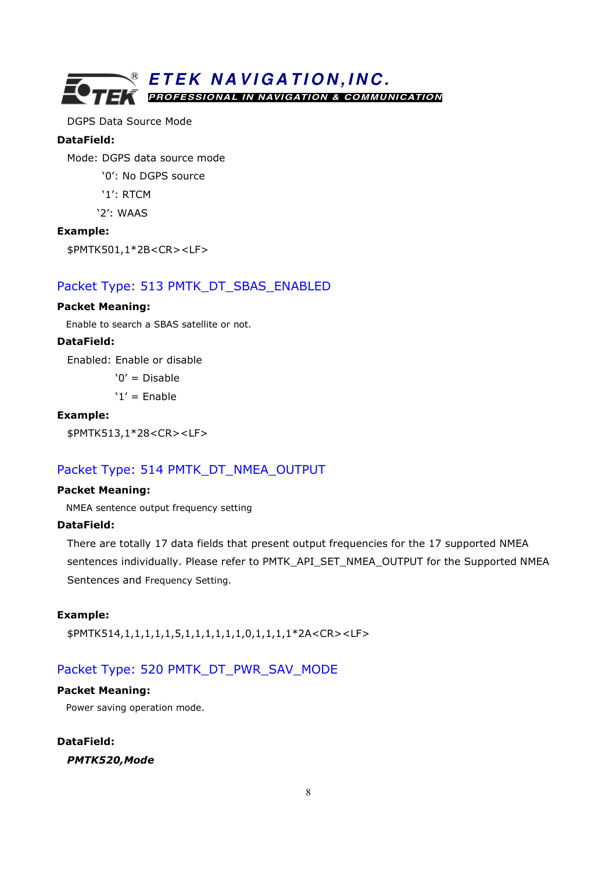

DGPS Data Source Mode

#### DataField:

Mode: DGPS data source mode

'0': No DGPS source

'1': RTCM

'2': WAAS

#### Example:

\$PMTK501,1\*2B<CR><LF>

### Packet Type: 513 PMTK\_DT\_SBAS\_ENABLED

#### Packet Meaning:

Enable to search a SBAS satellite or not.

#### DataField:

Enabled: Enable or disable

 $'0' = Disable$ 

 $'1'$  = Enable

#### Example:

\$PMTK513,1\*28<CR><LF>

# Packet Type: 514 PMTK\_DT\_NMEA\_OUTPUT

#### Packet Meaning:

NMEA sentence output frequency setting

#### DataField:

There are totally 17 data fields that present output frequencies for the 17 supported NMEA sentences individually. Please refer to PMTK\_API\_SET\_NMEA\_OUTPUT for the Supported NMEA Sentences and Frequency Setting.

#### Example:

\$PMTK514,1,1,1,1,1,5,1,1,1,1,1,1,0,1,1,1,1\*2A<CR><LF>

# Packet Type: 520 PMTK\_DT\_PWR\_SAV\_MODE

#### Packet Meaning:

Power saving operation mode.

#### DataField:

PMTK520,Mode